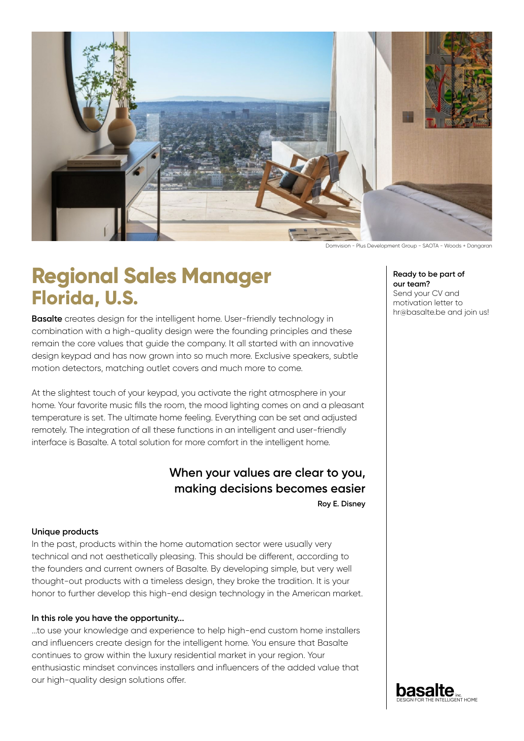

Domvision - Plus Development Group - SAOTA - Woods + Dangaran

# **Regional Sales Manager Florida, U.S.**

**Basalte** creates design for the intelligent home. User-friendly technology in combination with a high-quality design were the founding principles and these remain the core values that guide the company. It all started with an innovative design keypad and has now grown into so much more. Exclusive speakers, subtle motion detectors, matching outlet covers and much more to come.

At the slightest touch of your keypad, you activate the right atmosphere in your home. Your favorite music fills the room, the mood lighting comes on and a pleasant temperature is set. The ultimate home feeling. Everything can be set and adjusted remotely. The integration of all these functions in an intelligent and user-friendly interface is Basalte. A total solution for more comfort in the intelligent home.

## **When your values are clear to you, making decisions becomes easier**

**Roy E. Disney**

### **Unique products**

In the past, products within the home automation sector were usually very technical and not aesthetically pleasing. This should be different, according to the founders and current owners of Basalte. By developing simple, but very well thought-out products with a timeless design, they broke the tradition. It is your honor to further develop this high-end design technology in the American market.

#### **In this role you have the opportunity...**

...to use your knowledge and experience to help high-end custom home installers and influencers create design for the intelligent home. You ensure that Basalte continues to grow within the luxury residential market in your region. Your enthusiastic mindset convinces installers and influencers of the added value that our high-quality design solutions offer.

**Ready to be part of our team?**

Send your CV and motivation letter to hr@basalte.be and join us!